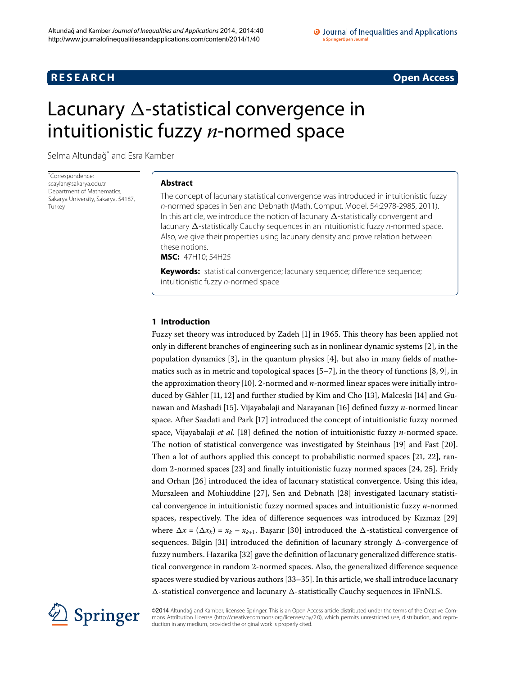# **R E S E A R C H Open Access**

# <span id="page-0-0"></span>Lacunary  $\Delta$ -statistical convergence in intuitionistic fuzzy *n*-normed space

Selma Altundağ<sup>[\\*](#page-0-0)</sup> and Esra Kamber

\* Correspondence: [scaylan@sakarya.edu.tr](mailto:scaylan@sakarya.edu.tr) Department of Mathematics, Sakarya University, Sakarya, 54187, Turkey

# **Abstract**

The concept of lacunary statistical convergence was introduced in intuitionistic fuzzy n-normed spaces in Sen and Debnath (Math. Comput. Model. 54:2978-2985, 2011). In this article, we introduce the notion of lacunary  $\Delta$ -statistically convergent and lacunary  $\Delta$ -statistically Cauchy sequences in an intuitionistic fuzzy n-normed space. Also, we give their properties using lacunary density and prove relation between these notions.

**MSC:** 47H10; 54H25

**Keywords:** statistical convergence; lacunary sequence; difference sequence; intuitionistic fuzzy n-normed space

# **1 Introduction**

Fuzzy set theory was introduced by Zadeh [1[\]](#page-10-0) in 1965. This theory has been applied not only in different branches of engineering such as in nonlinear dynamic systems [\[](#page-10-1)], in the population dynamics  $[3]$  $[3]$ , in the quantum physics  $[4]$ , but also in many fields of mathematics such as in metric and topological spaces  $[5-7]$  $[5-7]$ [,](#page-10-6) in the theory of functions  $[8, 9]$ , in the approximation theory  $[10]$  $[10]$ . 2-normed and  $n$ -normed linear spaces were initially introduced by Gähler  $[11, 12]$  $[11, 12]$  $[11, 12]$  $[11, 12]$  and further studied by Kim and Cho  $[13]$  $[13]$ , Malceski  $[14]$  and Gu-nawan and Mashadi [15[\]](#page-10-14). Vijayabalaji and Narayanan [16] defined fuzzy *n*-normed linear space. After Saadati and Park [\[](#page-10-15)17] introduced the concept of intuitionistic fuzzy normed space, Vijayabalaji *et al.* [\[](#page-10-16)18] defined the notion of intuitionistic fuzzy *n*-normed space. The notion of statistical convergence was investigated by Steinhaus [\[](#page-10-17)19] and Fast [20]. Then a lot of authors applied this concept to probabilistic normed spaces  $[21, 22]$ , ran-dom 2-normed spaces [23[\]](#page-10-23) and finally intuitionistic fuzzy normed spaces [24, 25]. Fridy and Orhan [26] introduced the idea of lacunary statistical convergence. Using this idea, Mursaleen and Mohiuddine [\[](#page-10-25)27], Sen and Debnath [28] investigated lacunary statistical convergence in intuitionistic fuzzy normed spaces and intuitionistic fuzzy *n*-normed spaces, respectively. The idea of difference sequences was introduced by Kızmaz [29[\]](#page-10-27) where  $\Delta x = (\Delta x_k) = x_k - x_{k+1}$ . Başarır [\[](#page-10-28)30] introduced the  $\Delta$ -statistical convergence of sequences. Bilgin [31[\]](#page-10-29) introduced the definition of lacunary strongly  $\Delta$ -convergence of fuzzy numbers. Hazarika [\[](#page-11-0)32] gave the definition of lacunary generalized difference statistical convergence in random 2-normed spaces. Also, the generalized difference sequence spaces were studied by various authors  $[33-35]$  $[33-35]$  $[33-35]$ . In this article, we shall introduce lacunary  $\Delta$ -statistical convergence and lacunary  $\Delta$ -statistically Cauchy sequences in IFnNLS.



©2014 Altundağ and Kamber; licensee Springer. This is an Open Access article distributed under the terms of the Creative Commons Attribution License (<http://creativecommons.org/licenses/by/2.0>), which permits unrestricted use, distribution, and reproduction in any medium, provided the original work is properly cited.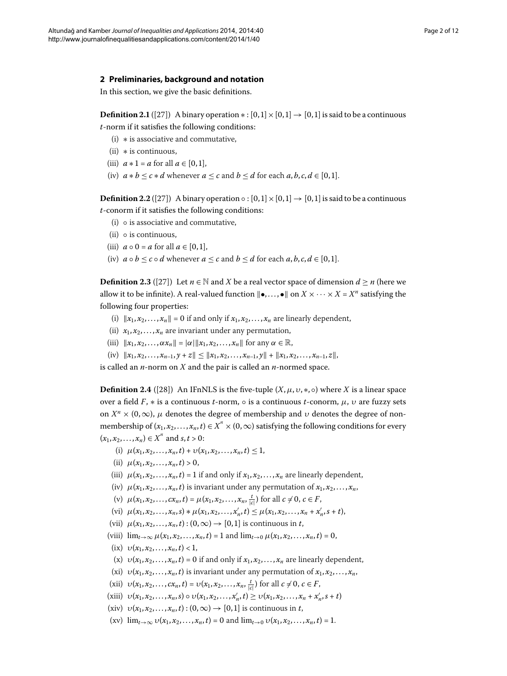# **2 Preliminaries, background and notation**

In this section, we give the basic definitions.

**Definition 2.1** ([\[](#page-10-25)27]) A binary operation  $* : [0,1] \times [0,1] \rightarrow [0,1]$  is said to be a continuous *t*-norm if it satisfies the following conditions:

- (i) ∗ is associative and commutative,
- $(ii)$  \* is continuous.
- (iii)  $a * 1 = a$  for all  $a \in [0, 1]$ ,
- (iv)  $a * b \leq c * d$  whenever  $a \leq c$  and  $b \leq d$  for each  $a, b, c, d \in [0, 1]$ .

**Definition 2.2** ([27[\]](#page-10-25)) A binary operation  $\circ$  :  $[0,1] \times [0,1] \rightarrow [0,1]$  is said to be a continuous *t*-conorm if it satisfies the following conditions:

- $(i)$   $\circ$  is associative and commutative,
- $(ii)$   $\circ$  is continuous,
- (iii)  $a \circ 0 = a$  for all  $a \in [0, 1]$ ,
- (iv)  $a \circ b \leq c \circ d$  whenever  $a \leq c$  and  $b \leq d$  for each  $a, b, c, d \in [0, 1]$ .

**Definition 2.3** ([\[](#page-10-25)27]) Let  $n \in \mathbb{N}$  and *X* be a real vector space of dimension  $d \ge n$  (here we allow it to be infinite). A real-valued function  $\|\bullet,\ldots,\bullet\|$  on  $X \times \cdots \times X = X^n$  satisfying the following four properties:

- (i)  $\|x_1, x_2, \ldots, x_n\| = 0$  if and only if  $x_1, x_2, \ldots, x_n$  are linearly dependent,
- (ii)  $x_1, x_2, \ldots, x_n$  are invariant under any permutation,
- $(iii)$   $\|x_1, x_2, \ldots, \alpha x_n\| = |\alpha| \|x_1, x_2, \ldots, x_n\|$  for any  $\alpha \in \mathbb{R}$ ,
- $(x)$   $\|x_1, x_2, \ldots, x_{n-1}, y + z\| \leq \|x_1, x_2, \ldots, x_{n-1}, y\| + \|x_1, x_2, \ldots, x_{n-1}, z\|$

is called an *n*-norm on *X* and the pair is called an *n*-normed space.

**Definition 2.4** ([28]) An IFnNLS is the five-tuple  $(X, \mu, \nu, *, \circ)$  where *X* is a linear space over a field *F*,  $*$  is a continuous *t*-norm,  $\circ$  is a continuous *t*-conorm,  $\mu$ , *υ* are fuzzy sets on  $X^n$  × (0,  $\infty$ ),  $\mu$  denotes the degree of membership and *ν* denotes the degree of nonmembership of  $(x_1, x_2,...,x_n, t) \in X^n \times (0, \infty)$  satisfying the following conditions for every  $(x_1, x_2,..., x_n) \in X^n$  and  $s, t > 0$ :

- (i)  $\mu(x_1, x_2, \ldots, x_n, t) + \nu(x_1, x_2, \ldots, x_n, t) \leq 1$
- (ii)  $\mu(x_1, x_2, \ldots, x_n, t) > 0$ ,
- (iii)  $\mu(x_1, x_2, \ldots, x_n, t) = 1$  if and only if  $x_1, x_2, \ldots, x_n$  are linearly dependent,
- (iv)  $\mu(x_1, x_2, \ldots, x_n, t)$  is invariant under any permutation of  $x_1, x_2, \ldots, x_n$ ,
- (v)  $\mu(x_1, x_2, \dots, x_n, t) = \mu(x_1, x_2, \dots, x_n, \frac{t}{|c|})$  for all  $c \neq 0, c \in F$ ,
- $(\text{vi})$   $\mu(x_1, x_2, \ldots, x_n, s) * \mu(x_1, x_2, \ldots, x'_n, t) \leq \mu(x_1, x_2, \ldots, x_n + x'_n, s + t),$
- (vii)  $\mu(x_1, x_2, \ldots, x_n, t) : (0, \infty) \rightarrow [0, 1]$  is continuous in *t*,
- (viii)  $\lim_{t\to\infty} \mu(x_1, x_2, \dots, x_n, t) = 1$  and  $\lim_{t\to 0} \mu(x_1, x_2, \dots, x_n, t) = 0$ ,
- $(\text{ix}) \ \nu(x_1, x_2, \ldots, x_n, t) < 1,$
- (x)  $v(x_1, x_2,...,x_n, t) = 0$  if and only if  $x_1, x_2,...,x_n$  are linearly dependent,
- (xi)  $v(x_1, x_2, \ldots, x_n, t)$  is invariant under any permutation of  $x_1, x_2, \ldots, x_n$ ,
- $(v_i, x_1, x_2, \ldots, c x_n, t) = v(x_1, x_2, \ldots, x_n, \frac{t}{|c|})$  for all  $c \neq 0, c \in F$ ,
- $(v(x_i, x_1, x_2, \ldots, x_n, s) \circ v(x_1, x_2, \ldots, x_n', t) \ge v(x_1, x_2, \ldots, x_n + x_n', s + t)$
- $(xiv)$   $v(x_1, x_2,...,x_n, t) : (0, \infty) \rightarrow [0, 1]$  is continuous in *t*,
- $(\text{xv}) \lim_{t \to \infty} v(x_1, x_2, \dots, x_n, t) = 0$  and  $\lim_{t \to 0} v(x_1, x_2, \dots, x_n, t) = 1$ .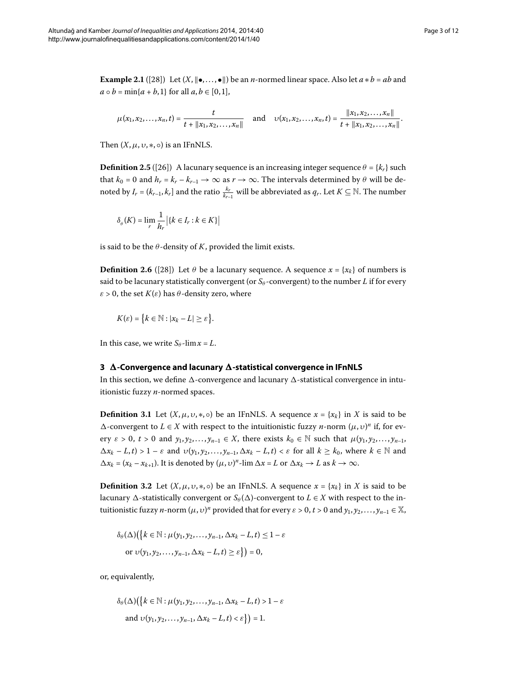<span id="page-2-1"></span>**Example 2.1** ([28[\]](#page-10-26)) Let  $(X, \|\bullet, \ldots, \bullet\|)$  be an *n*-normed linear space. Also let  $a * b = ab$  and  $a \circ b = \min\{a + b, 1\}$  for all  $a, b \in [0, 1]$ ,

$$
\mu(x_1, x_2,..., x_n, t) = \frac{t}{t + \|x_1, x_2,..., x_n\|} \quad \text{and} \quad \upsilon(x_1, x_2,..., x_n, t) = \frac{\|x_1, x_2,..., x_n\|}{t + \|x_1, x_2,..., x_n\|}.
$$

Then  $(X, \mu, \nu, \ast, \circ)$  is an IFnNLS.

**Definition 2.5** ([26]) A lacunary sequence is an increasing integer sequence  $\theta = \{k_r\}$  such that  $k_0 = 0$  and  $h_r = k_r - k_{r-1} \rightarrow \infty$  as  $r \rightarrow \infty$ . The intervals determined by  $\theta$  will be denoted by  $I_r = (k_{r-1}, k_r]$  and the ratio  $\frac{k_r}{k_{r-1}}$  will be abbreviated as  $q_r$ . Let  $K \subseteq \mathbb{N}$ . The number

$$
\delta_{\theta}(K) = \lim_{r} \frac{1}{h_r} \left| \{ k \in I_r : k \in K \} \right|
$$

is said to be the  $\theta$ -density of *K*, provided the limit exists.

**Definition 2.6** ([\[](#page-10-26)28]) Let  $\theta$  be a lacunary sequence. A sequence  $x = \{x_k\}$  of numbers is said to be lacunary statistically convergent (or  $S_\theta$ -convergent) to the number *L* if for every  $\varepsilon$  > 0, the set  $K(\varepsilon)$  has  $\theta$ -density zero, where

$$
K(\varepsilon) = \{k \in \mathbb{N} : |x_k - L| \ge \varepsilon\}.
$$

In this case, we write  $S_\theta$ -lim $x = L$ .

# 3  $\Delta$ -Convergence and lacunary  $\Delta$ -statistical convergence in IFnNLS

In this section, we define  $\Delta$ -convergence and lacunary  $\Delta$ -statistical convergence in intuitionistic fuzzy *n*-normed spaces.

<span id="page-2-0"></span>**Definition 3.1** Let  $(X, \mu, \nu, *, \circ)$  be an IFnNLS. A sequence  $x = \{x_k\}$  in *X* is said to be *Δ*-convergent to *L* ∈ *X* with respect to the intuitionistic fuzzy *n*-norm (*μ*,*υ*)<sup>*n*</sup> if, for every  $\varepsilon > 0$ ,  $t > 0$  and  $y_1, y_2,..., y_{n-1} \in X$ , there exists  $k_0 \in \mathbb{N}$  such that  $\mu(y_1, y_2,..., y_{n-1},$  $\Delta x_k - L$ , *t*) > 1 – *ε* and  $v(y_1, y_2, \ldots, y_{n-1}, \Delta x_k - L$ , *t*) < *ε* for all  $k \geq k_0$ , where  $k \in \mathbb{N}$  and  $\Delta x_k = (x_k - x_{k+1})$ . It is denoted by  $(\mu, \nu)^n$ -lim  $\Delta x = L$  or  $\Delta x_k \to L$  as  $k \to \infty$ .

**Definition 3.2** Let  $(X, \mu, \nu, *, \circ)$  be an IFNNLS. A sequence  $x = \{x_k\}$  in *X* is said to be lacunary  $\Delta$ -statistically convergent or  $S_{\theta}(\Delta)$ -convergent to  $L \in X$  with respect to the intuitionistic fuzzy *n*-norm  $(\mu, \nu)^n$  provided that for every  $\varepsilon > 0$ ,  $t > 0$  and  $y_1, y_2, \ldots, y_{n-1} \in \mathbb{X}$ ,

$$
\delta_{\theta}(\Delta) (\{k \in \mathbb{N} : \mu(y_1, y_2, \dots, y_{n-1}, \Delta x_k - L, t) \leq 1 - \varepsilon
$$
  
or  $\nu(y_1, y_2, \dots, y_{n-1}, \Delta x_k - L, t) \geq \varepsilon \}) = 0,$ 

or, equivalently,

$$
\delta_{\theta}(\Delta)\Big(\Big\{k \in \mathbb{N} : \mu(y_1, y_2, \dots, y_{n-1}, \Delta x_k - L, t) > 1 - \varepsilon
$$
\n
$$
\text{and } \upsilon(y_1, y_2, \dots, y_{n-1}, \Delta x_k - L, t) < \varepsilon\Big\}\Big) = 1.
$$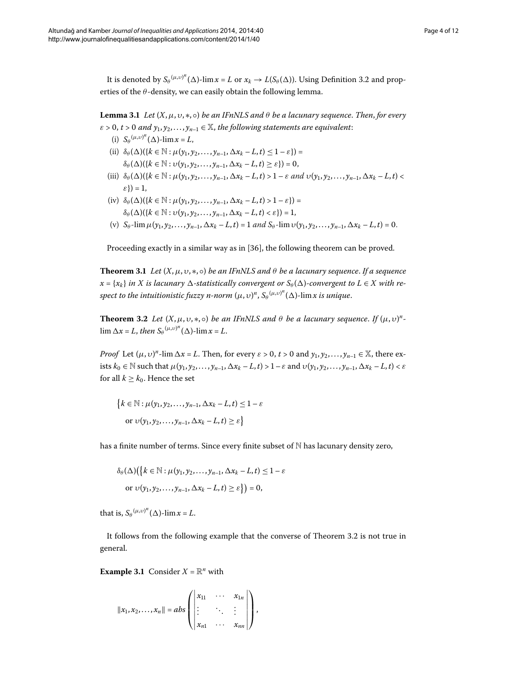It is denoted by  $S_{\theta}^{(\mu,\nu)^n}(\Delta)$ -lim $x = L$  or  $x_k \to L(S_{\theta}(\Delta))$ [.](#page-2-0) Using Definition 3.2 and properties of the  $\theta$ -density, we can easily obtain the following lemma.

**Lemma 3.1** Let  $(X, \mu, \nu, \ast, \circ)$  be an IFnNLS and  $\theta$  be a lacunary sequence. Then, for every  $\varepsilon > 0$ ,  $t > 0$  and  $y_1, y_2, \ldots, y_{n-1} \in \mathbb{X}$ , the following statements are equivalent:

- (i)  $S_\theta^{(\mu,\nu)^n}(\Delta)$ -lim $x = L$ ,
- (ii)  $\delta_{\theta}(\Delta)(\{k \in \mathbb{N} : \mu(y_1, y_2, \dots, y_{n-1}, \Delta x_k L, t) \leq 1 \varepsilon\}) =$  $\delta_{\theta}(\Delta)(\{k \in \mathbb{N}: v(y_1, y_2, \ldots, y_{n-1}, \Delta x_k - L, t) \geq \varepsilon\}) = 0,$
- (iii)  $\delta_{\theta}(\Delta)(\{k \in \mathbb{N} : \mu(y_1, y_2, \dots, y_{n-1}, \Delta x_k L, t) > 1 \varepsilon \text{ and } \upsilon(y_1, y_2, \dots, y_{n-1}, \Delta x_k L, t) <$  $\{\varepsilon\}\big)=1$ ,
- $(iv)$   $\delta_{\theta}(\Delta)(\{k \in \mathbb{N} : \mu(y_1, y_2, \dots, y_{n-1}, \Delta x_k L, t) > 1 \varepsilon\}) =$  $\delta_{\theta}(\Delta)(\{k \in \mathbb{N} : v(y_1, y_2, \ldots, y_{n-1}, \Delta x_k - L, t) < \varepsilon\}) = 1,$
- (v)  $S_{\theta}$ - $\lim \mu(y_1, y_2, \dots, y_{n-1}, \Delta x_k L, t) = 1$  and  $S_{\theta}$ - $\lim v(y_1, y_2, \dots, y_{n-1}, \Delta x_k L, t) = 0$ .

<span id="page-3-0"></span>Proceeding exactly in a similar way as in [36], the following theorem can be proved.

**Theorem 3.1** Let  $(X, \mu, \nu, \ast, \circ)$  be an IFnNLS and  $\theta$  be a lacunary sequence. If a sequence  $x = \{x_k\}$  *in X is lacunary*  $\Delta$ -statistically convergent or  $S_\theta(\Delta)$ -convergent to  $L \in X$  with re- ${\rm spec} t$  to the intuitionistic fuzzy n-norm  $(\mu,\upsilon)^n$ ,  $S_\theta{}^{(\mu,\upsilon)^n}$ ( $\Delta$ )-lim $x$  is unique.

**Theorem 3.2** *Let*  $(X, \mu, \nu, \ast, \circ)$  *be an IFnNLS and*  $\theta$  *be a lacunary sequence. If*  $(\mu, \nu)^n$ - $\lim \Delta x = L$ , *then*  $S_\theta^{(\mu,\nu)^n}(\Delta)$ - $\lim x = L$ .

*Proof* Let  $(\mu, \nu)^n$ -lim  $\Delta x = L$ . Then, for every  $\varepsilon > 0$ ,  $t > 0$  and  $y_1, y_2, \ldots, y_{n-1} \in \mathbb{X}$ , there exists  $k_0 \in \mathbb{N}$  such that  $\mu(y_1, y_2, \dots, y_{n-1}, \Delta x_k - L, t) > 1 - \varepsilon$  and  $\nu(y_1, y_2, \dots, y_{n-1}, \Delta x_k - L, t) < \varepsilon$ for all  $k \geq k_0$ . Hence the set

$$
\{k \in \mathbb{N} : \mu(y_1, y_2, \dots, y_{n-1}, \Delta x_k - L, t) \leq 1 - \varepsilon
$$
  
or  $v(y_1, y_2, \dots, y_{n-1}, \Delta x_k - L, t) \geq \varepsilon\}$ 

has a finite number of terms. Since every finite subset of N has lacunary density zero,

$$
\delta_{\theta}(\Delta)\Big(\big\{k\in\mathbb{N}:\mu(y_1,y_2,\ldots,y_{n-1},\Delta x_k-L,t)\leq 1-\varepsilon
$$
  
or  $v(y_1,y_2,\ldots,y_{n-1},\Delta x_k-L,t)\geq \varepsilon\big\}\Big)=0,$ 

that is,  $S_\theta^{(\mu,\nu)^n}(\Delta)$ -lim $x = L$ .

It follows from the following example that the converse of Theorem 3[.](#page-3-0)2 is not true in general.

**Example 3.1** Consider  $X = \mathbb{R}^n$  with

$$
\|x_1, x_2, \ldots, x_n\| = abs \left( \begin{vmatrix} x_{11} & \cdots & x_{1n} \\ \vdots & \ddots & \vdots \\ x_{n1} & \cdots & x_{nn} \end{vmatrix} \right),
$$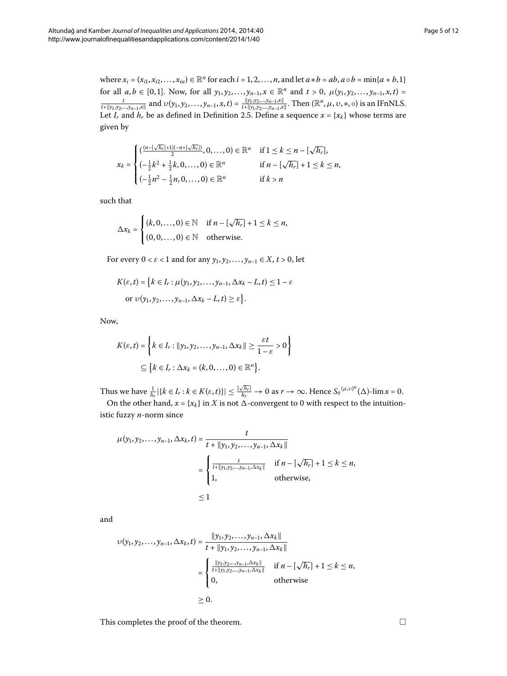where  $x_i = (x_{i1}, x_{i2}, \dots, x_{in}) \in \mathbb{R}^n$  for each  $i = 1, 2, \dots, n$ , and let  $a * b = ab$ ,  $a \circ b = \min\{a + b, 1\}$ for all  $a, b \in [0, 1]$ . Now, for all  $y_1, y_2, ..., y_{n-1}, x \in \mathbb{R}^n$  and  $t > 0$ ,  $\mu(y_1, y_2, ..., y_{n-1}, x, t) =$  $\frac{t}{t+||y_1,y_2,...,y_{n-1},x||}$  and  $\upsilon(y_1,y_2,...,y_{n-1},x,t) = \frac{||y_1,y_2,...,y_{n-1},x||}{t+||y_1,y_2,...,y_{n-1},x||}$ . Then  $(\mathbb{R}^n,\mu,\upsilon,*,\circ)$  is an IFnNLS. Let  $I_r$  and  $h_r$  be as defined in Definition 2.5. Define a sequence  $x = \{x_k\}$  whose terms are given by

$$
x_k = \begin{cases} \left(\frac{(n - \lfloor \sqrt{h_r} \rfloor + 1)(-n + \lfloor \sqrt{h_r} \rfloor)}{2}, 0, \ldots, 0\right) \in \mathbb{R}^n & \text{if } 1 \leq k \leq n - \lfloor \sqrt{h_r} \rfloor, \\ \left(-\frac{1}{2}k^2 + \frac{1}{2}k, 0, \ldots, 0\right) \in \mathbb{R}^n & \text{if } n - \lfloor \sqrt{h_r} \rfloor + 1 \leq k \leq n, \\ \left(-\frac{1}{2}n^2 - \frac{1}{2}n, 0, \ldots, 0\right) \in \mathbb{R}^n & \text{if } k > n \end{cases}
$$

such that

$$
\Delta x_k = \begin{cases} (k, 0, \dots, 0) \in \mathbb{N} & \text{if } n - [\sqrt{h_r}] + 1 \leq k \leq n, \\ (0, 0, \dots, 0) \in \mathbb{N} & \text{otherwise.} \end{cases}
$$

For every  $0 < \varepsilon < 1$  and for any  $y_1, y_2, \ldots, y_{n-1} \in X$ ,  $t > 0$ , let

$$
K(\varepsilon, t) = \{k \in I_r : \mu(y_1, y_2, \dots, y_{n-1}, \Delta x_k - L, t) \le 1 - \varepsilon
$$
  
or  $v(y_1, y_2, \dots, y_{n-1}, \Delta x_k - L, t) \ge \varepsilon\}.$ 

Now,

$$
K(\varepsilon, t) = \left\{ k \in I_r : ||y_1, y_2, \dots, y_{n-1}, \Delta x_k|| \geq \frac{\varepsilon t}{1 - \varepsilon} > 0 \right\}
$$
  

$$
\subseteq \left\{ k \in I_r : \Delta x_k = (k, 0, \dots, 0) \in \mathbb{R}^n \right\}.
$$

Thus we have  $\frac{1}{h_r} |\{k \in I_r : k \in K(\varepsilon, t)\}| \leq \frac{[\sqrt{h_r}]}{h_r} \to 0$  as  $r \to \infty$ . Hence  $S_\theta^{(\mu, v)^n}(\Delta)$ -lim $x = 0$ .

On the other hand,  $x = \{x_k\}$  in  $X$  is not  $\Delta$ -convergent to 0 with respect to the intuitionistic fuzzy *n*-norm since

$$
\mu(y_1, y_2, \dots, y_{n-1}, \Delta x_k, t) = \frac{t}{t + \|y_1, y_2, \dots, y_{n-1}, \Delta x_k\|}
$$
  
= 
$$
\begin{cases} \frac{t}{t + \|y_1, y_2, \dots, y_{n-1}, \Delta x_k\|} & \text{if } n - [\sqrt{h_r}] + 1 \le k \le n, \\ 1, & \text{otherwise,} \end{cases}
$$
  
 $\le 1$ 

and

$$
v(y_1, y_2,..., y_{n-1}, \Delta x_k, t) = \frac{\|y_1, y_2,..., y_{n-1}, \Delta x_k\|}{t + \|y_1, y_2,..., y_{n-1}, \Delta x_k\|} \\
= \begin{cases} \frac{\|y_1, y_2,..., y_{n-1}, \Delta x_k\|}{t + \|y_1, y_2,..., y_{n-1}, \Delta x_k\|} & \text{if } n - [\sqrt{h_r}] + 1 \le k \le n, \\ 0, & \text{otherwise} \end{cases}
$$
  
\n
$$
\ge 0.
$$

This completes the proof of the theorem.  $\hfill \square$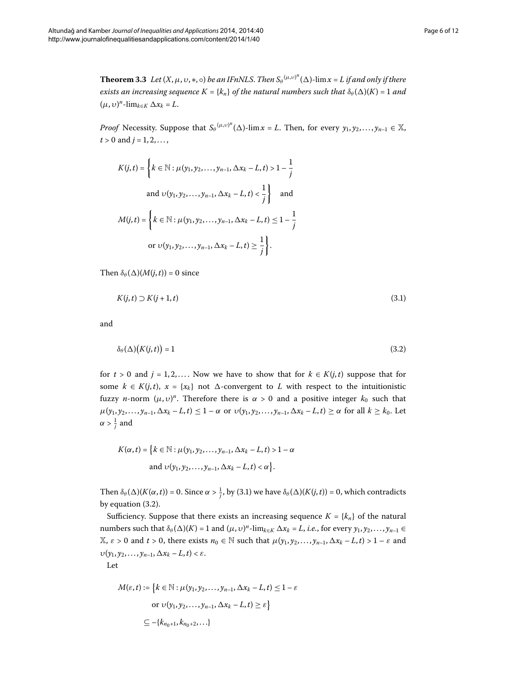<span id="page-5-2"></span>**Theorem 3.3** Let  $(X, \mu, \nu, *, \circ)$  be an IFnNLS. Then  $S_\theta^{(\mu, \nu)^n}(\Delta)$ -lim $x = L$  if and only if there  $e$ xists an increasing sequence  $K = \{k_n\}$  of the natural numbers such that  $\delta_\theta(\Delta)(K) = 1$  and  $(\mu, \nu)^n$ - $\lim_{k \in K} \Delta x_k = L$ .

*Proof* Necessity. Suppose that  $S_\theta^{(\mu,\nu)^n}(\Delta)$ -lim $x = L$ . Then, for every  $y_1, y_2, \ldots, y_{n-1} \in \mathbb{X}$ ,  $t > 0$  and  $j = 1, 2, \ldots$ ,

<span id="page-5-0"></span>
$$
K(j, t) = \left\{ k \in \mathbb{N} : \mu(y_1, y_2, \dots, y_{n-1}, \Delta x_k - L, t) > 1 - \frac{1}{j} \right\}
$$
  
and  $\nu(y_1, y_2, \dots, y_{n-1}, \Delta x_k - L, t) < \frac{1}{j} \right\}$  and  

$$
M(j, t) = \left\{ k \in \mathbb{N} : \mu(y_1, y_2, \dots, y_{n-1}, \Delta x_k - L, t) \le 1 - \frac{1}{j} \right\}
$$
  
or  $\nu(y_1, y_2, \dots, y_{n-1}, \Delta x_k - L, t) \ge \frac{1}{j} \right\}.$ 

Then  $\delta_{\theta}(\Delta)(M(j,t)) = 0$  since

<span id="page-5-1"></span>
$$
K(j,t) \supset K(j+1,t) \tag{3.1}
$$

and

$$
\delta_{\theta}(\Delta)(K(j,t)) = 1 \tag{3.2}
$$

for  $t > 0$  and  $j = 1, 2, \ldots$ . Now we have to show that for  $k \in K(j, t)$  suppose that for some  $k \in K(j,t)$ ,  $x = \{x_k\}$  not  $\Delta$ -convergent to *L* with respect to the intuitionistic fuzzy *n*-norm  $(\mu, \nu)^n$ . Therefore there is  $\alpha > 0$  and a positive integer  $k_0$  such that  $\mu(y_1, y_2, \ldots, y_{n-1}, \Delta x_k - L, t) \leq 1 - \alpha$  or  $\upsilon(y_1, y_2, \ldots, y_{n-1}, \Delta x_k - L, t) \geq \alpha$  for all  $k \geq k_0$ . Let  $\alpha > \frac{1}{j}$  and

$$
K(\alpha, t) = \left\{ k \in \mathbb{N} : \mu(y_1, y_2, \dots, y_{n-1}, \Delta x_k - L, t) > 1 - \alpha \right\}
$$
  
and  $\upsilon(y_1, y_2, \dots, y_{n-1}, \Delta x_k - L, t) < \alpha \right\}.$ 

Then  $\delta_{\theta}(\Delta)(K(\alpha, t)) = 0$ . Since  $\alpha > \frac{1}{j}$ , by (3.1) we have  $\delta_{\theta}(\Delta)(K(j, t)) = 0$ , which contradicts by equation  $(3.2)$  $(3.2)$  $(3.2)$ .

Sufficiency. Suppose that there exists an increasing sequence  $K = \{k_n\}$  of the natural numbers such that  $\delta_\theta(\Delta)(K) = 1$  and  $(\mu, \nu)^n$ -lim<sub>*k*∈*K*</sub>  $\Delta x_k = L$ , *i.e.*, for every  $y_1, y_2, ..., y_{n-1} \in$  $\mathbb{X}, \varepsilon > 0$  and  $t > 0$ , there exists  $n_0 \in \mathbb{N}$  such that  $\mu(y_1, y_2, \ldots, y_{n-1}, \Delta x_k - L, t) > 1 - \varepsilon$  and  $\nu(y_1, y_2, \ldots, y_{n-1}, \Delta x_k - L, t) < \varepsilon$ .

Let

$$
M(\varepsilon, t) := \{ k \in \mathbb{N} : \mu(y_1, y_2, \dots, y_{n-1}, \Delta x_k - L, t) \le 1 - \varepsilon
$$
  
or  $v(y_1, y_2, \dots, y_{n-1}, \Delta x_k - L, t) \ge \varepsilon \}$   

$$
\subseteq -\{k_{n_0+1}, k_{n_0+2}, \dots\}
$$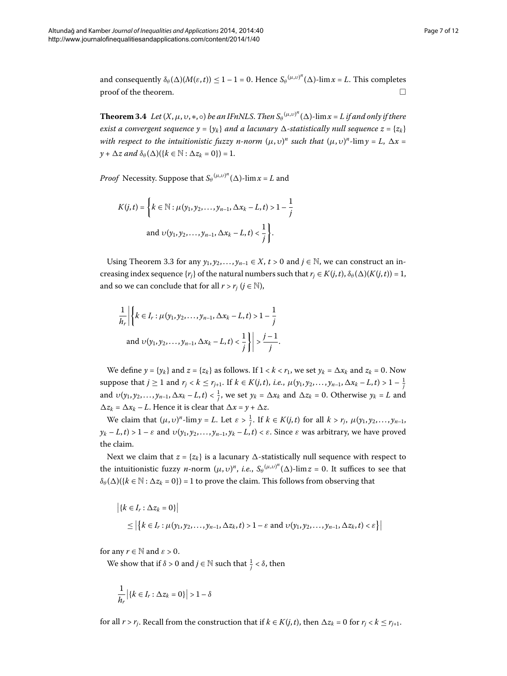and consequently  $\delta_{\theta}(\Delta)(M(\varepsilon, t)) \leq 1 - 1 = 0$ . Hence  $S_{\theta}^{(\mu, \nu)^{n}}(\Delta)$ -lim $x = L$ . This completes proof of the theorem.  $\Box$ 

**Theorem 3.4** Let  $(X, \mu, \nu, *, \circ)$  be an IFnNLS. Then  $S_\theta^{(\mu, \nu)^n}(\Delta)$ -lim $x = L$  if and only if there exist a convergent sequence  $y = \{y_k\}$  and a lacunary  $\Delta$ -statistically null sequence  $z = \{z_k\}$ *with respect to the intuitionistic fuzzy n-norm*  $(\mu, \nu)^n$  *such that*  $(\mu, \nu)^n$ -lim $y = L$ ,  $\Delta x =$  $y + \Delta z$  and  $\delta_{\theta}(\Delta)(\{k \in \mathbb{N} : \Delta z_k = 0\}) = 1.$ 

*Proof* Necessity. Suppose that  $S_\theta^{(\mu,\nu)^\prime}(\Delta)$ -lim $x$  = *L* and

$$
K(j,t) = \left\{ k \in \mathbb{N} : \mu(y_1, y_2, \dots, y_{n-1}, \Delta x_k - L, t) > 1 - \frac{1}{j} \right\}
$$
  
and  $\nu(y_1, y_2, \dots, y_{n-1}, \Delta x_k - L, t) < \frac{1}{j} \left\}$ .

Using Theorem 3[.](#page-5-2)3 for any  $y_1, y_2,..., y_{n-1} \in X$ ,  $t > 0$  and  $j \in \mathbb{N}$ , we can construct an increasing index sequence  $\{r_j\}$  of the natural numbers such that  $r_j \in K(j, t)$ ,  $\delta_\theta(\Delta)(K(j, t)) = 1$ , and so we can conclude that for all  $r > r_j$  ( $j \in \mathbb{N}$ ),

$$
\frac{1}{h_r} \left| \left\{ k \in I_r : \mu(y_1, y_2, \dots, y_{n-1}, \Delta x_k - L, t) > 1 - \frac{1}{j} \right\} \right|
$$
\n
$$
\text{and } \upsilon(y_1, y_2, \dots, y_{n-1}, \Delta x_k - L, t) < \frac{1}{j} \right\} \left| \frac{j-1}{j} \right|.
$$

We define  $y = \{y_k\}$  and  $z = \{z_k\}$  as follows. If  $1 < k < r_1$ , we set  $y_k = \Delta x_k$  and  $z_k = 0$ . Now  $\sup$  suppose that  $j \ge 1$  and  $r_j < k \le r_{j+1}$ . If  $k \in K(j, t)$ , *i.e.*,  $\mu(y_1, y_2, \ldots, y_{n-1}, \Delta x_k - L, t) > 1 - \frac{1}{j}$ and  $v(y_1, y_2, \ldots, y_{n-1}, \Delta x_k - L, t) < \frac{1}{j}$ , we set  $y_k = \Delta x_k$  and  $\Delta z_k = 0$ . Otherwise  $y_k = L$  and  $\Delta z_k = \Delta x_k - L$ . Hence it is clear that  $\Delta x = y + \Delta z$ .

We claim that  $(\mu, \nu)^n$ -lim $y = L$ . Let  $\varepsilon > \frac{1}{j}$ . If  $k \in K(j, t)$  for all  $k > r_j$ ,  $\mu(y_1, y_2, \ldots, y_{n-1},$  $y_k - L$ ,  $t$ ) > 1 –  $\varepsilon$  and  $v(y_1, y_2, \ldots, y_{n-1}, y_k - L$ ,  $t$ ) <  $\varepsilon$ . Since  $\varepsilon$  was arbitrary, we have proved the claim.

Next we claim that  $z = \{z_k\}$  is a lacunary  $\Delta$ -statistically null sequence with respect to the intuitionistic fuzzy *n*-norm  $(\mu, \nu)^n$ , *i.e.*,  $S_\theta {}^{(\mu, \nu)^n}(\Delta)$ -lim $z=0$ . It suffices to see that  $\delta_{\theta}(\Delta)(\{k \in \mathbb{N} : \Delta z_k = 0\}) = 1$  to prove the claim. This follows from observing that

$$
\begin{aligned} \left| \{ k \in I_r : \Delta z_k = 0 \} \right| \\ &\leq \left| \{ k \in I_r : \mu(y_1, y_2, \dots, y_{n-1}, \Delta z_k, t) > 1 - \varepsilon \text{ and } \upsilon(y_1, y_2, \dots, y_{n-1}, \Delta z_k, t) < \varepsilon \} \right| \end{aligned}
$$

for any  $r \in \mathbb{N}$  and  $\varepsilon > 0$ .

We show that if  $\delta > 0$  and  $j \in \mathbb{N}$  such that  $\frac{1}{j} < \delta$ , then

$$
\frac{1}{h_r}\left|\{k\in I_r: \Delta z_k=0\}\right|>1-\delta
$$

for all *r* > *r<sub>j</sub>*. Recall from the construction that if  $k \in K(j,t)$ , then  $\Delta z_k = 0$  for  $r_j < k \leq r_{j+1}$ .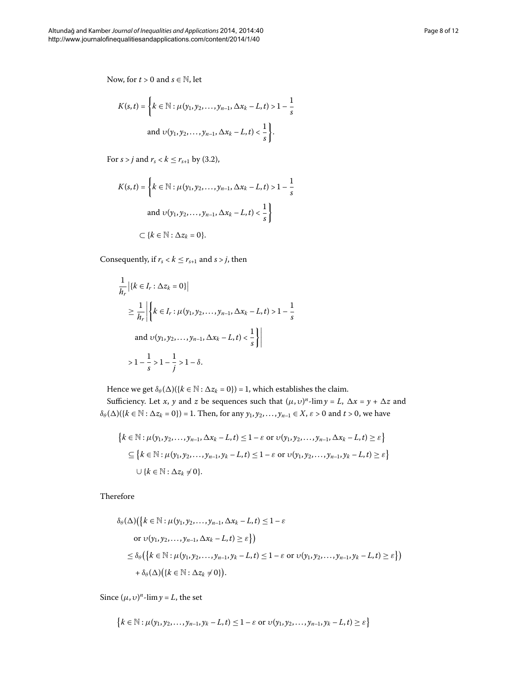Now, for *t* > 0 and *s*  $\in$  N, let

$$
K(s,t) = \left\{ k \in \mathbb{N} : \mu(y_1, y_2, \dots, y_{n-1}, \Delta x_k - L, t) > 1 - \frac{1}{s} \right\}
$$
  
and  $\nu(y_1, y_2, \dots, y_{n-1}, \Delta x_k - L, t) < \frac{1}{s} \right\}.$ 

For  $s > j$  and  $r_s < k \leq r_{s+1}$  by (3.2),

$$
K(s,t) = \left\{ k \in \mathbb{N} : \mu(y_1, y_2, \dots, y_{n-1}, \Delta x_k - L, t) > 1 - \frac{1}{s} \right\}
$$
  
and  $\nu(y_1, y_2, \dots, y_{n-1}, \Delta x_k - L, t) < \frac{1}{s} \right\}$   
 $\subset \{ k \in \mathbb{N} : \Delta z_k = 0 \}.$ 

Consequently, if  $r_s < k \leq r_{s+1}$  and  $s > j$ , then

$$
\frac{1}{h_r} \left| \{ k \in I_r : \Delta z_k = 0 \} \right|
$$
\n
$$
\geq \frac{1}{h_r} \left| \left\{ k \in I_r : \mu(y_1, y_2, \dots, y_{n-1}, \Delta x_k - L, t) > 1 - \frac{1}{s} \right\} \right|
$$
\nand  $v(y_1, y_2, \dots, y_{n-1}, \Delta x_k - L, t) < \frac{1}{s} \} \left| \sum_{j=1}^{n} \sum_{j=1}^{n} \Delta x_j \right|$ 

Hence we get  $\delta_{\theta}(\Delta)(\{k \in \mathbb{N} : \Delta z_k = 0\}) = 1$ , which establishes the claim.

Sufficiency. Let *x*, *y* and *z* be sequences such that  $(\mu, \nu)^n$ -lim $y = L$ ,  $\Delta x = y + \Delta z$  and  $\delta_{\theta}(\Delta)(\{k \in \mathbb{N} : \Delta z_k = 0\}) = 1$ . Then, for any  $y_1, y_2, \ldots, y_{n-1} \in X$ ,  $\varepsilon > 0$  and  $t > 0$ , we have

$$
\{k \in \mathbb{N} : \mu(y_1, y_2, \dots, y_{n-1}, \Delta x_k - L, t) \le 1 - \varepsilon \text{ or } \nu(y_1, y_2, \dots, y_{n-1}, \Delta x_k - L, t) \ge \varepsilon\}
$$
  

$$
\subseteq \{k \in \mathbb{N} : \mu(y_1, y_2, \dots, y_{n-1}, y_k - L, t) \le 1 - \varepsilon \text{ or } \nu(y_1, y_2, \dots, y_{n-1}, y_k - L, t) \ge \varepsilon\}
$$
  

$$
\cup \{k \in \mathbb{N} : \Delta z_k \ne 0\}.
$$

Therefore

$$
\delta_{\theta}(\Delta) (\{k \in \mathbb{N} : \mu(y_1, y_2, \dots, y_{n-1}, \Delta x_k - L, t) \le 1 - \varepsilon
$$
  
or  $v(y_1, y_2, \dots, y_{n-1}, \Delta x_k - L, t) \ge \varepsilon \})$   

$$
\le \delta_{\theta} (\{k \in \mathbb{N} : \mu(y_1, y_2, \dots, y_{n-1}, y_k - L, t) \le 1 - \varepsilon \text{ or } v(y_1, y_2, \dots, y_{n-1}, y_k - L, t) \ge \varepsilon \})
$$
  
+  $\delta_{\theta}(\Delta) (\{k \in \mathbb{N} : \Delta z_k \ne 0\}).$ 

Since  $(\mu, \nu)^n$ -lim  $y = L$ , the set

$$
\big\{k\in\mathbb{N}:\mu(y_1,y_2,\ldots,y_{n-1},y_k-L,t)\leq 1-\varepsilon\text{ or } \upsilon(y_1,y_2,\ldots,y_{n-1},y_k-L,t)\geq \varepsilon\big\}
$$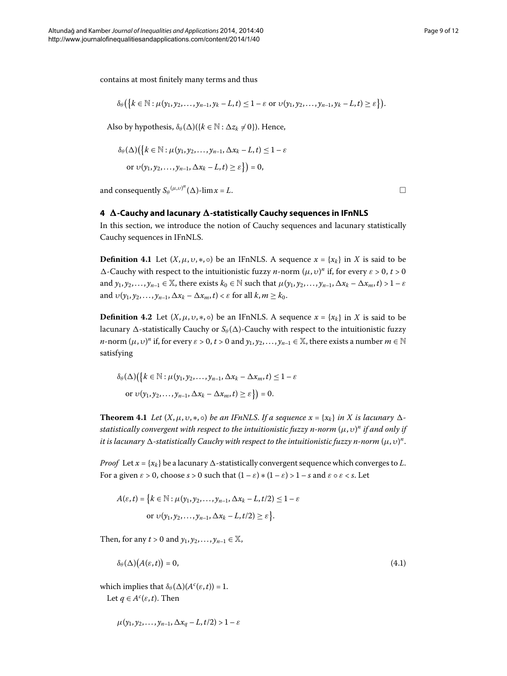contains at most finitely many terms and thus

$$
\delta_{\theta}\big(\big\{k\in\mathbb{N}:\mu(y_1,y_2,\ldots,y_{n-1},y_k-L,t)\leq 1-\varepsilon \text{ or } \upsilon(y_1,y_2,\ldots,y_{n-1},y_k-L,t)\geq \varepsilon\big\}\big).
$$

Also by hypothesis,  $\delta_{\theta}(\Delta)(\{k \in \mathbb{N} : \Delta z_k \neq 0\})$ . Hence,

$$
\delta_{\theta}(\Delta) (\{k \in \mathbb{N} : \mu(y_1, y_2, \dots, y_{n-1}, \Delta x_k - L, t) \leq 1 - \varepsilon
$$
  
or  $v(y_1, y_2, \dots, y_{n-1}, \Delta x_k - L, t) \geq \varepsilon \}) = 0,$ 

and consequently  $S_\theta^{(\mu,\nu)^n}(\Delta)$ -lim $x = L$ .

# $\blacktriangle$   $\blacktriangle$ -Cauchy and lacunary  $\blacktriangle$ -statistically Cauchy sequences in IFnNLS

In this section, we introduce the notion of Cauchy sequences and lacunary statistically Cauchy sequences in IFnNLS.

**Definition 4.1** Let  $(X, \mu, \nu, \ast, \circ)$  be an IFnNLS. A sequence  $x = \{x_k\}$  in *X* is said to be  $Δ$ -Cauchy with respect to the intuitionistic fuzzy *n*-norm ( $μ$ ,*υ*)<sup>*n*</sup> if, for every  $ε > 0$ ,  $t > 0$ and  $y_1, y_2, \ldots, y_{n-1} \in \mathbb{X}$ , there exists  $k_0 \in \mathbb{N}$  such that  $\mu(y_1, y_2, \ldots, y_{n-1}, \Delta x_k - \Delta x_m, t) > 1 - \varepsilon$ and  $\nu(y_1, y_2, \ldots, y_{n-1}, \Delta x_k - \Delta x_m, t) < \varepsilon$  for all  $k, m \geq k_0$ .

**Definition 4.2** Let  $(X, \mu, \nu, *, \circ)$  be an IFNNLS. A sequence  $x = \{x_k\}$  in *X* is said to be lacunary Δ-statistically Cauchy or S*θ* (Δ)-Cauchy with respect to the intuitionistic fuzzy *n*-norm  $(\mu, \nu)^n$  if, for every  $\varepsilon > 0$ ,  $t > 0$  and  $y_1, y_2, \ldots, y_{n-1} \in \mathbb{X}$ , there exists a number  $m \in \mathbb{N}$ satisfying

$$
\delta_{\theta}(\Delta)\big(\big\{k\in\mathbb{N}:\mu(y_1,y_2,\ldots,y_{n-1},\Delta x_k-\Delta x_m,t)\leq 1-\varepsilon
$$
  
or  $v(y_1,y_2,\ldots,y_{n-1},\Delta x_k-\Delta x_m,t)\geq \varepsilon\big\}\big)=0.$ 

**Theorem 4.1** Let  $(X, \mu, \nu, *, \circ)$  be an IFnNLS. If a sequence  $x = \{x_k\}$  in X is lacunary  $\Delta$ *statistically convergent with respect to the intuitionistic fuzzy n-norm* (*μ*, *υ*) *<sup>n</sup> if and only if*  $i$ t is lacunary  $\Delta$ -statistically Cauchy with respect to the intuitionistic fuzzy n-norm  $(\mu, \nu)^n$ .

*Proof* Let  $x = \{x_k\}$  be a lacunary  $\Delta$ -statistically convergent sequence which converges to *L*. For a given  $\varepsilon > 0$ , choose  $s > 0$  such that  $(1 - \varepsilon) * (1 - \varepsilon) > 1 - s$  and  $\varepsilon \circ \varepsilon < s$ . Let

<span id="page-8-0"></span>
$$
A(\varepsilon, t) = \left\{ k \in \mathbb{N} : \mu(y_1, y_2, \dots, y_{n-1}, \Delta x_k - L, t/2) \le 1 - \varepsilon
$$
  
or  $v(y_1, y_2, \dots, y_{n-1}, \Delta x_k - L, t/2) \ge \varepsilon \right\}.$ 

Then, for any  $t > 0$  and  $y_1, y_2, \ldots, y_{n-1} \in \mathbb{X}$ ,

$$
\delta_{\theta}(\Delta)(A(\varepsilon,t)) = 0, \tag{4.1}
$$

which implies that  $\delta_{\theta}(\Delta)(A^c(\varepsilon,t)) = 1$ . Let  $q \in A^c(\varepsilon, t)$ . Then

$$
\mu(y_1, y_2, \ldots, y_{n-1}, \Delta x_q - L, t/2) > 1 - \varepsilon
$$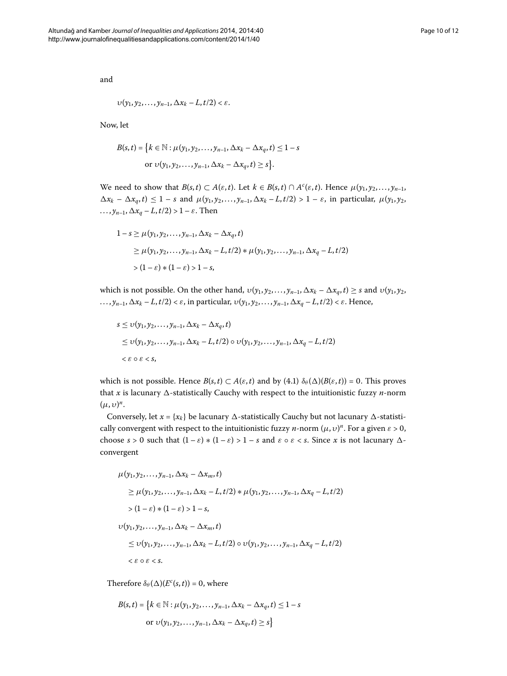and

$$
\upsilon(y_1,y_2,\ldots,y_{n-1},\Delta x_k-L,t/2)<\varepsilon.
$$

Now, let

$$
B(s,t) = \left\{ k \in \mathbb{N} : \mu(y_1, y_2, \dots, y_{n-1}, \Delta x_k - \Delta x_q, t) \le 1 - s
$$
  
or  $v(y_1, y_2, \dots, y_{n-1}, \Delta x_k - \Delta x_q, t) \ge s \right\}.$ 

We need to show that  $B(s,t) \subset A(\varepsilon,t)$ . Let  $k \in B(s,t) \cap A^c(\varepsilon,t)$ . Hence  $\mu(y_1, y_2, \ldots, y_{n-1},$  $\Delta x_k - \Delta x_q, t$ )  $\leq 1 - s$  and  $\mu(y_1, y_2, \ldots, y_{n-1}, \Delta x_k - L, t/2) > 1 - \varepsilon$ , in particular,  $\mu(y_1, y_2, \ldots, y_{n-1}, \Delta x_k - L, t/2) > 1 - \varepsilon$  $\ldots$ ,  $\mathcal{Y}_{n-1}$ ,  $\Delta x_q - L$ ,  $t/2$ ) >  $1 - \varepsilon$ . Then

$$
1-s \ge \mu(y_1, y_2, \dots, y_{n-1}, \Delta x_k - \Delta x_q, t)
$$
  
\n
$$
\ge \mu(y_1, y_2, \dots, y_{n-1}, \Delta x_k - L, t/2) * \mu(y_1, y_2, \dots, y_{n-1}, \Delta x_q - L, t/2)
$$
  
\n
$$
> (1-\varepsilon) * (1-\varepsilon) > 1-s,
$$

which is not possible. On the other hand,  $v(y_1, y_2, \ldots, y_{n-1}, \Delta x_k - \Delta x_q, t) \geq s$  and  $v(y_1, y_2, \ldots, y_n)$ ..., *y*<sub>*n*−1</sub>, ∆*x*<sub>*k*</sub> − *L*, *t*/2) < *ε*, in particular, *v*(*y*<sub>1</sub>, *y*<sub>2</sub>, ..., *y*<sub>*n*−1</sub>, ∆*x*<sub>*q*</sub> − *L*, *t*/2) < *ε*. Hence,

$$
s \leq \upsilon(y_1, y_2, \dots, y_{n-1}, \Delta x_k - \Delta x_q, t)
$$
  
\$\leq \upsilon(y\_1, y\_2, \dots, y\_{n-1}, \Delta x\_k - L, t/2) \circ \upsilon(y\_1, y\_2, \dots, y\_{n-1}, \Delta x\_q - L, t/2)\$  
\$< \varepsilon \circ \varepsilon < s\$,

which is not possible. Hence  $B(s,t) \subset A(\varepsilon,t)$  and by  $(4.1) \delta_\theta(\Delta)(B(\varepsilon,t)) = 0$ . This proves that *x* is lacunary  $\Delta$ -statistically Cauchy with respect to the intuitionistic fuzzy *n*-norm (*μ*, *υ*) *n*.

Conversely, let  $x = \{x_k\}$  be lacunary  $\Delta$ -statistically Cauchy but not lacunary  $\Delta$ -statistically convergent with respect to the intuitionistic fuzzy *n*-norm  $(\mu, \nu)^n$ . For a given  $\varepsilon > 0$ , choose  $s > 0$  such that  $(1 - \varepsilon) * (1 - \varepsilon) > 1 - s$  and  $\varepsilon \circ \varepsilon < s$ . Since  $x$  is not lacunary  $\Delta$ convergent

$$
\mu(y_1, y_2, \dots, y_{n-1}, \Delta x_k - \Delta x_m, t)
$$
\n
$$
\geq \mu(y_1, y_2, \dots, y_{n-1}, \Delta x_k - L, t/2) * \mu(y_1, y_2, \dots, y_{n-1}, \Delta x_q - L, t/2)
$$
\n
$$
> (1 - \varepsilon) * (1 - \varepsilon) > 1 - s,
$$
\n
$$
\upsilon(y_1, y_2, \dots, y_{n-1}, \Delta x_k - \Delta x_m, t)
$$
\n
$$
\leq \upsilon(y_1, y_2, \dots, y_{n-1}, \Delta x_k - L, t/2) \circ \upsilon(y_1, y_2, \dots, y_{n-1}, \Delta x_q - L, t/2)
$$
\n
$$
< \varepsilon \circ \varepsilon < s.
$$

Therefore  $\delta_{\theta}(\Delta)(E^c(s,t)) = 0$ , where

$$
B(s,t) = \left\{ k \in \mathbb{N} : \mu(y_1, y_2, \dots, y_{n-1}, \Delta x_k - \Delta x_q, t) \le 1 - s \right\}
$$
  
or  $v(y_1, y_2, \dots, y_{n-1}, \Delta x_k - \Delta x_q, t) \ge s \right\}$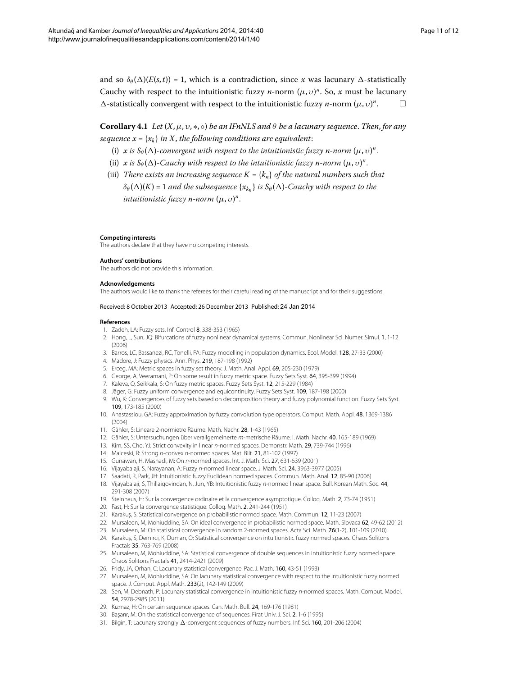and so  $\delta_{\theta}(\Delta)(E(s,t))$  = 1, which is a contradiction, since  $x$  was lacunary  $\Delta$ -statistically Cauchy with respect to the intuitionistic fuzzy *n*-norm (*μ*,*υ*) *<sup>n</sup>*. So, *x* must be lacunary  $\Delta$ -statistically convergent with respect to the intuitionistic fuzzy *n*-norm  $(\mu, \nu)^n$ .  $\Box$ 

**Corollary 4.1** Let  $(X, \mu, \nu, \ast, \circ)$  be an IFnNLS and  $\theta$  be a lacunary sequence. Then, for any *sequence*  $x = \{x_k\}$  *in*  $X$ *, the following conditions are equivalent:* 

- (i)  $x$  *is*  $S_\theta(\Delta)$ -convergent with respect to the intuitionistic fuzzy *n*-norm  $(\mu, \nu)^n$ .
- (ii) *x* is  $S_\theta(\Delta)$ -Cauchy with respect to the intuitionistic fuzzy *n*-norm  $(\mu, \nu)^n$ .
- (iii) *There exists an increasing sequence*  $K = \{k_n\}$  *of the natural numbers such that*  $\delta_{\theta}(\Delta)(K)$  = 1 and the subsequence { $x_{k_n}$ } is  $S_{\theta}(\Delta)$ -Cauchy with respect to the *intuitionistic fuzzy n-norm* (*μ*, *υ*) *n*.

#### **Competing interests**

<span id="page-10-0"></span>The authors declare that they have no competing interests.

#### <span id="page-10-1"></span>**Authors' contributions**

<span id="page-10-2"></span>The authors did not provide this information.

#### <span id="page-10-4"></span><span id="page-10-3"></span>**Acknowledgements**

The authors would like to thank the referees for their careful reading of the manuscript and for their suggestions.

### <span id="page-10-6"></span><span id="page-10-5"></span>Received: 8 October 2013 Accepted: 26 December 2013 Published: 24 Jan 2014

#### <span id="page-10-8"></span><span id="page-10-7"></span>**References**

- 1. Zadeh, LA: Fuzzy sets. Inf. Control 8, 338-353 (1965)
- 2. Hong, L, Sun, JQ: Bifurcations of fuzzy nonlinear dynamical systems. Commun. Nonlinear Sci. Numer. Simul. 1, 1-12 (2006)
- 3. Barros, LC, Bassanezi, RC, Tonelli, PA: Fuzzy modelling in population dynamics. Ecol. Model. 128, 27-33 (2000)
- <span id="page-10-11"></span><span id="page-10-10"></span><span id="page-10-9"></span>4. Madore, J: Fuzzy physics. Ann. Phys. 219, 187-198 (1992)
- 5. Erceg, MA: Metric spaces in fuzzy set theory. J. Math. Anal. Appl. 69, 205-230 (1979)
- <span id="page-10-13"></span><span id="page-10-12"></span>6. George, A, Veeramani, P: On some result in fuzzy metric space. Fuzzy Sets Syst. 64, 395-399 (1994)
- 7. Kaleva, O, Seikkala, S: On fuzzy metric spaces. Fuzzy Sets Syst. 12, 215-229 (1984)
- <span id="page-10-14"></span>8. Jäger, G: Fuzzy uniform convergence and equicontinuity. Fuzzy Sets Syst. 109, 187-198 (2000)
- <span id="page-10-15"></span>9. Wu, K: Convergences of fuzzy sets based on decomposition theory and fuzzy polynomial function. Fuzzy Sets Syst. 109, 173-185 (2000)
- <span id="page-10-16"></span>10. Anastassiou, GA: Fuzzy approximation by fuzzy convolution type operators. Comput. Math. Appl. 48, 1369-1386 (2004)
- <span id="page-10-18"></span><span id="page-10-17"></span>11. Gähler, S: Lineare 2-normietre Räume. Math. Nachr. 28, 1-43 (1965)
- <span id="page-10-19"></span>12. Gähler, S: Untersuchungen über verallgemeinerte m-metrische Räume. I. Math. Nachr. 40, 165-189 (1969)
- <span id="page-10-20"></span>13. Kim, SS, Cho, YJ: Strict convexity in linear n-normed spaces. Demonstr. Math. 29, 739-744 (1996)
- <span id="page-10-21"></span>14. Malceski, R: Strong n-convex n-normed spaces. Mat. Bilt. 21, 81-102 (1997)
- <span id="page-10-22"></span>15. Gunawan, H, Mashadi, M: On n-normed spaces. Int. J. Math. Sci. 27, 631-639 (2001)
- 16. Vijayabalaji, S, Narayanan, A: Fuzzy n-normed linear space. J. Math. Sci. 24, 3963-3977 (2005)
- <span id="page-10-23"></span>17. Saadati, R, Park, JH: Intuitionistic fuzzy Euclidean normed spaces. Commun. Math. Anal. 12, 85-90 (2006)
- <span id="page-10-24"></span>18. Vijayabalaji, S, Thillaigovindan, N, Jun, YB: Intuitionistic fuzzy n-normed linear space. Bull. Korean Math. Soc. 44, 291-308 (2007)
- <span id="page-10-25"></span>19. Steinhaus, H: Sur la convergence ordinaire et la convergence asymptotique. Colloq. Math. 2, 73-74 (1951)
- 20. Fast, H: Sur la convergence statistique. Colloq. Math. 2, 241-244 (1951)
- <span id="page-10-26"></span>21. Karaku¸s, S: Statistical convergence on probabilistic normed space. Math. Commun. 12, 11-23 (2007)
- 22. Mursaleen, M, Mohiuddine, SA: On ideal convergence in probabilistic normed space. Math. Slovaca 62, 49-62 (2012)
- <span id="page-10-28"></span><span id="page-10-27"></span>23. Mursaleen, M: On statistical convergence in random 2-normed spaces. Acta Sci. Math. 76(1-2), 101-109 (2010) 24. Karakuş, S, Demirci, K, Duman, O: Statistical convergence on intuitionistic fuzzy normed spaces. Chaos Solitons Fractals 35, 763-769 (2008)
- <span id="page-10-29"></span>25. Mursaleen, M, Mohiuddine, SA: Statistical convergence of double sequences in intuitionistic fuzzy normed space. Chaos Solitons Fractals 41, 2414-2421 (2009)
- 26. Fridy, JA, Orhan, C: Lacunary statistical convergence. Pac. J. Math. 160, 43-51 (1993)
- 27. Mursaleen, M, Mohiuddine, SA: On lacunary statistical convergence with respect to the intuitionistic fuzzy normed space. J. Comput. Appl. Math. 233(2), 142-149 (2009)
- 28. Sen, M, Debnath, P: Lacunary statistical convergence in intuitionistic fuzzy n-normed spaces. Math. Comput. Model. 54, 2978-2985 (2011)
- 29. Kızmaz, H: On certain sequence spaces. Can. Math. Bull. 24, 169-176 (1981)
- 30. Başarır, M: On the statistical convergence of sequences. Firat Univ. J. Sci. 2, 1-6 (1995)
- 31. Bilgin, T: Lacunary strongly  $\Delta$ -convergent sequences of fuzzy numbers. Inf. Sci. **160**, 201-206 (2004)